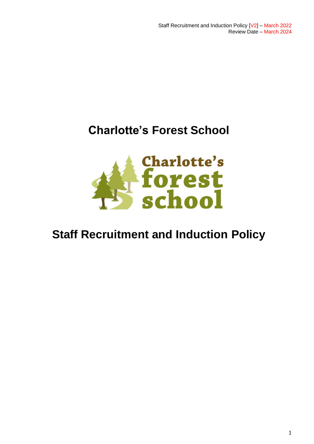Staff Recruitment and Induction Policy [V2] – March 2022 Review Date – March 2024

## **Charlotte's Forest School**



# **Staff Recruitment and Induction Policy**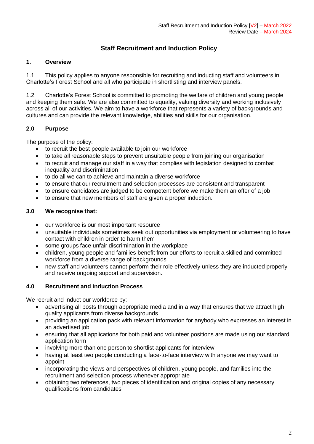### **Staff Recruitment and Induction Policy**

#### **1. Overview**

1.1 This policy applies to anyone responsible for recruiting and inducting staff and volunteers in Charlotte's Forest School and all who participate in shortlisting and interview panels.

1.2 Charlotte's Forest School is committed to promoting the welfare of children and young people and keeping them safe. We are also committed to equality, valuing diversity and working inclusively across all of our activities. We aim to have a workforce that represents a variety of backgrounds and cultures and can provide the relevant knowledge, abilities and skills for our organisation.

#### **2.0 Purpose**

The purpose of the policy:

- to recruit the best people available to join our workforce
- to take all reasonable steps to prevent unsuitable people from joining our organisation
- to recruit and manage our staff in a way that complies with legislation designed to combat inequality and discrimination
- to do all we can to achieve and maintain a diverse workforce
- to ensure that our recruitment and selection processes are consistent and transparent
- to ensure candidates are judged to be competent before we make them an offer of a job
- to ensure that new members of staff are given a proper induction.

#### **3.0 We recognise that:**

- our workforce is our most important resource
- unsuitable individuals sometimes seek out opportunities via employment or volunteering to have contact with children in order to harm them
- some groups face unfair discrimination in the workplace
- children, young people and families benefit from our efforts to recruit a skilled and committed workforce from a diverse range of backgrounds
- new staff and volunteers cannot perform their role effectively unless they are inducted properly and receive ongoing support and supervision.

#### **4.0 Recruitment and Induction Process**

We recruit and induct our workforce by:

- advertising all posts through appropriate media and in a way that ensures that we attract high quality applicants from diverse backgrounds
- providing an application pack with relevant information for anybody who expresses an interest in an advertised job
- ensuring that all applications for both paid and volunteer positions are made using our standard application form
- involving more than one person to shortlist applicants for interview
- having at least two people conducting a face-to-face interview with anyone we may want to appoint
- incorporating the views and perspectives of children, young people, and families into the recruitment and selection process whenever appropriate
- obtaining two references, two pieces of identification and original copies of any necessary qualifications from candidates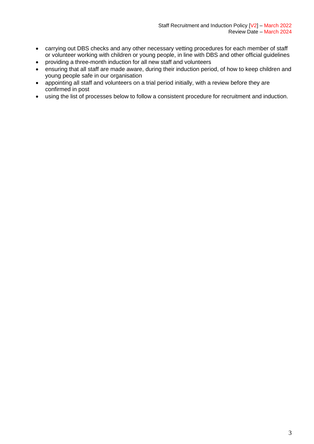- carrying out DBS checks and any other necessary vetting procedures for each member of staff or volunteer working with children or young people, in line with DBS and other official guidelines
- providing a three-month induction for all new staff and volunteers
- ensuring that all staff are made aware, during their induction period, of how to keep children and young people safe in our organisation
- appointing all staff and volunteers on a trial period initially, with a review before they are confirmed in post
- using the list of processes below to follow a consistent procedure for recruitment and induction.